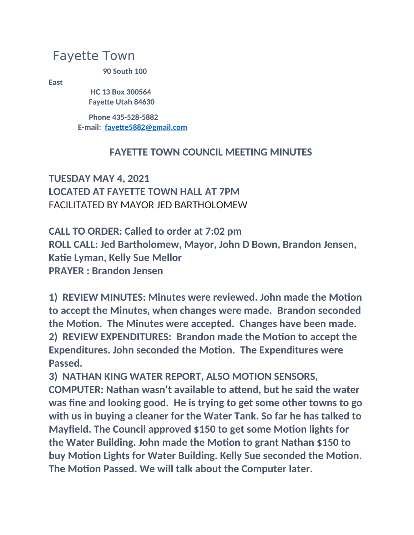## Fayette Town

**90 South 100** 

**East**

 **HC 13 Box 300564 Fayette Utah 84630**

 **Phone 435-528-5882 E-mail: [fayette5882@gmail.com](mailto:fayette5882@gmail.com)**

## **FAYETTE TOWN COUNCIL MEETING MINUTES**

## **TUESDAY MAY 4, 2021 LOCATED AT FAYETTE TOWN HALL AT 7PM** FACILITATED BY MAYOR JED BARTHOLOMEW

**CALL TO ORDER: Called to order at 7:02 pm ROLL CALL: Jed Bartholomew, Mayor, John D Bown, Brandon Jensen, Katie Lyman, Kelly Sue Mellor PRAYER : Brandon Jensen**

**1) REVIEW MINUTES: Minutes were reviewed. John made the Motion to accept the Minutes, when changes were made. Brandon seconded the Motion. The Minutes were accepted. Changes have been made. 2) REVIEW EXPENDITURES: Brandon made the Motion to accept the Expenditures. John seconded the Motion. The Expenditures were Passed.**

**3) NATHAN KING WATER REPORT, ALSO MOTION SENSORS, COMPUTER: Nathan wasn't available to attend, but he said the water was fine and looking good. He is trying to get some other towns to go with us in buying a cleaner for the Water Tank. So far he has talked to Mayfield. The Council approved \$150 to get some Motion lights for the Water Building. John made the Motion to grant Nathan \$150 to buy Motion Lights for Water Building. Kelly Sue seconded the Motion. The Motion Passed. We will talk about the Computer later.**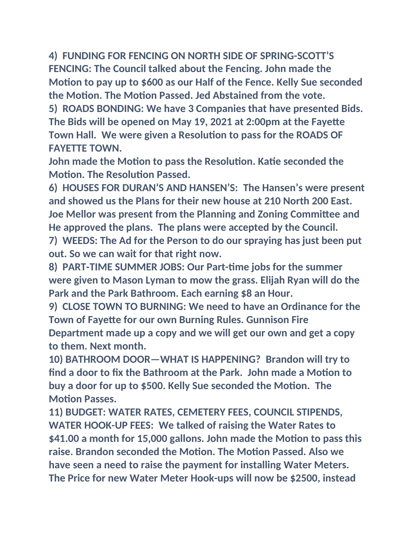**4) FUNDING FOR FENCING ON NORTH SIDE OF SPRING-SCOTT'S FENCING: The Council talked about the Fencing. John made the Motion to pay up to \$600 as our Half of the Fence. Kelly Sue seconded the Motion. The Motion Passed. Jed Abstained from the vote.**

**5) ROADS BONDING: We have 3 Companies that have presented Bids. The Bids will be opened on May 19, 2021 at 2:00pm at the Fayette Town Hall. We were given a Resolution to pass for the ROADS OF FAYETTE TOWN.**

**John made the Motion to pass the Resolution. Katie seconded the Motion. The Resolution Passed.**

**6) HOUSES FOR DURAN'S AND HANSEN'S: The Hansen's were present and showed us the Plans for their new house at 210 North 200 East. Joe Mellor was present from the Planning and Zoning Committee and He approved the plans. The plans were accepted by the Council.**

**7) WEEDS: The Ad for the Person to do our spraying has just been put out. So we can wait for that right now.**

**8) PART-TIME SUMMER JOBS: Our Part-time jobs for the summer were given to Mason Lyman to mow the grass. Elijah Ryan will do the Park and the Park Bathroom. Each earning \$8 an Hour.**

**9) CLOSE TOWN TO BURNING: We need to have an Ordinance for the Town of Fayette for our own Burning Rules. Gunnison Fire Department made up a copy and we will get our own and get a copy to them. Next month.**

**10) BATHROOM DOOR—WHAT IS HAPPENING? Brandon will try to find a door to fix the Bathroom at the Park. John made a Motion to buy a door for up to \$500. Kelly Sue seconded the Motion. The Motion Passes.**

**11) BUDGET: WATER RATES, CEMETERY FEES, COUNCIL STIPENDS, WATER HOOK-UP FEES: We talked of raising the Water Rates to \$41.00 a month for 15,000 gallons. John made the Motion to pass this raise. Brandon seconded the Motion. The Motion Passed. Also we have seen a need to raise the payment for installing Water Meters. The Price for new Water Meter Hook-ups will now be \$2500, instead**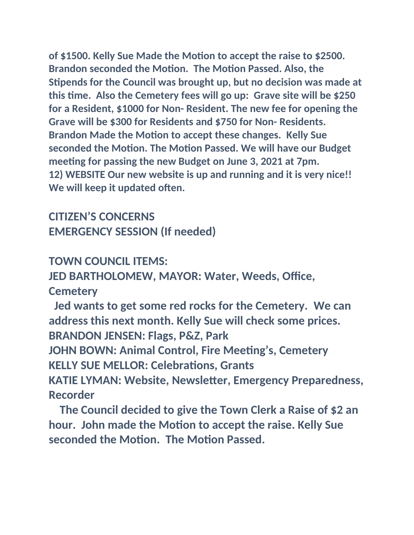**of \$1500. Kelly Sue Made the Motion to accept the raise to \$2500. Brandon seconded the Motion. The Motion Passed. Also, the Stipends for the Council was brought up, but no decision was made at this time. Also the Cemetery fees will go up: Grave site will be \$250 for a Resident, \$1000 for Non- Resident. The new fee for opening the Grave will be \$300 for Residents and \$750 for Non- Residents. Brandon Made the Motion to accept these changes. Kelly Sue seconded the Motion. The Motion Passed. We will have our Budget meeting for passing the new Budget on June 3, 2021 at 7pm. 12) WEBSITE Our new website is up and running and it is very nice!! We will keep it updated often.**

**CITIZEN'S CONCERNS EMERGENCY SESSION (If needed)**

**TOWN COUNCIL ITEMS:**

**JED BARTHOLOMEW, MAYOR: Water, Weeds, Office, Cemetery**

 **Jed wants to get some red rocks for the Cemetery. We can address this next month. Kelly Sue will check some prices. BRANDON JENSEN: Flags, P&Z, Park**

**JOHN BOWN: Animal Control, Fire Meeting's, Cemetery KELLY SUE MELLOR: Celebrations, Grants**

**KATIE LYMAN: Website, Newsletter, Emergency Preparedness, Recorder**

 **The Council decided to give the Town Clerk a Raise of \$2 an hour. John made the Motion to accept the raise. Kelly Sue seconded the Motion. The Motion Passed.**